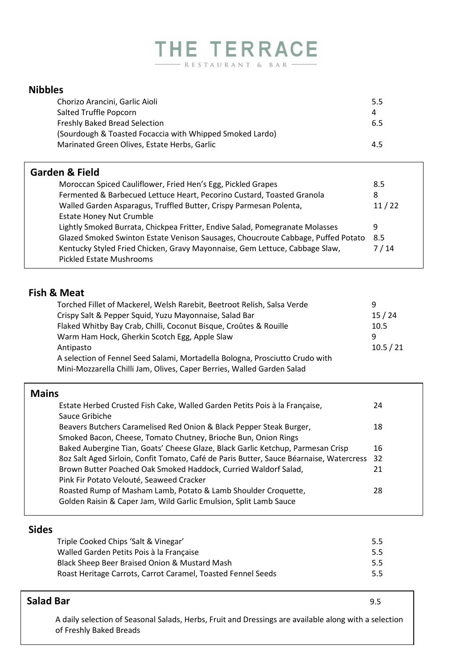# THE TERRACE - RESTAURANT & BAR -

| <b>Nibbles</b>                                                                   |       |
|----------------------------------------------------------------------------------|-------|
| Chorizo Arancini, Garlic Aioli                                                   | 5.5   |
| Salted Truffle Popcorn                                                           | 4     |
| <b>Freshly Baked Bread Selection</b>                                             | 6.5   |
| (Sourdough & Toasted Focaccia with Whipped Smoked Lardo)                         |       |
| Marinated Green Olives, Estate Herbs, Garlic                                     | 4.5   |
|                                                                                  |       |
| <b>Garden &amp; Field</b>                                                        |       |
| Moroccan Spiced Cauliflower, Fried Hen's Egg, Pickled Grapes                     | 8.5   |
| Fermented & Barbecued Lettuce Heart, Pecorino Custard, Toasted Granola           | 8     |
| Walled Garden Asparagus, Truffled Butter, Crispy Parmesan Polenta,               | 11/22 |
| Estate Honey Nut Crumble                                                         |       |
| Lightly Smoked Burrata, Chickpea Fritter, Endive Salad, Pomegranate Molasses     | 9     |
| Glazed Smoked Swinton Estate Venison Sausages, Choucroute Cabbage, Puffed Potato | 8.5   |
| Kentucky Styled Fried Chicken, Gravy Mayonnaise, Gem Lettuce, Cabbage Slaw,      | 7/14  |
| Pickled Estate Mushrooms                                                         |       |
|                                                                                  |       |

# **Fish & Meat**

| Torched Fillet of Mackerel, Welsh Rarebit, Beetroot Relish, Salsa Verde      | q         |
|------------------------------------------------------------------------------|-----------|
| Crispy Salt & Pepper Squid, Yuzu Mayonnaise, Salad Bar                       | 15/24     |
| Flaked Whitby Bay Crab, Chilli, Coconut Bisque, Croûtes & Rouille            | 10.5      |
| Warm Ham Hock, Gherkin Scotch Egg, Apple Slaw                                | q         |
| Antipasto                                                                    | 10.5 / 21 |
| A selection of Fennel Seed Salami, Mortadella Bologna, Prosciutto Crudo with |           |
| Mini-Mozzarella Chilli Jam, Olives, Caper Berries, Walled Garden Salad       |           |

| <b>Mains</b>                                                                            |    |
|-----------------------------------------------------------------------------------------|----|
| Estate Herbed Crusted Fish Cake, Walled Garden Petits Pois à la Française,              | 24 |
| Sauce Gribiche                                                                          |    |
| Beavers Butchers Caramelised Red Onion & Black Pepper Steak Burger,                     | 18 |
| Smoked Bacon, Cheese, Tomato Chutney, Brioche Bun, Onion Rings                          |    |
| Baked Aubergine Tian, Goats' Cheese Glaze, Black Garlic Ketchup, Parmesan Crisp         | 16 |
| 8oz Salt Aged Sirloin, Confit Tomato, Café de Paris Butter, Sauce Béarnaise, Watercress | 32 |
| Brown Butter Poached Oak Smoked Haddock, Curried Waldorf Salad,                         | 21 |
| Pink Fir Potato Velouté, Seaweed Cracker                                                |    |
| Roasted Rump of Masham Lamb, Potato & Lamb Shoulder Croquette,                          | 28 |
| Golden Raisin & Caper Jam, Wild Garlic Emulsion, Split Lamb Sauce                       |    |
|                                                                                         |    |

# **Sides**

| Triple Cooked Chips 'Salt & Vinegar'                         | 5.5 <sub>1</sub> |
|--------------------------------------------------------------|------------------|
| Walled Garden Petits Pois à la Française                     | 5.5              |
| Black Sheep Beer Braised Onion & Mustard Mash                | 5.5              |
| Roast Heritage Carrots, Carrot Caramel, Toasted Fennel Seeds | 5.5 <sub>1</sub> |

# **Salad Bar** 9.5

A daily selection of Seasonal Salads, Herbs, Fruit and Dressings are available along with a selection of Freshly Baked Breads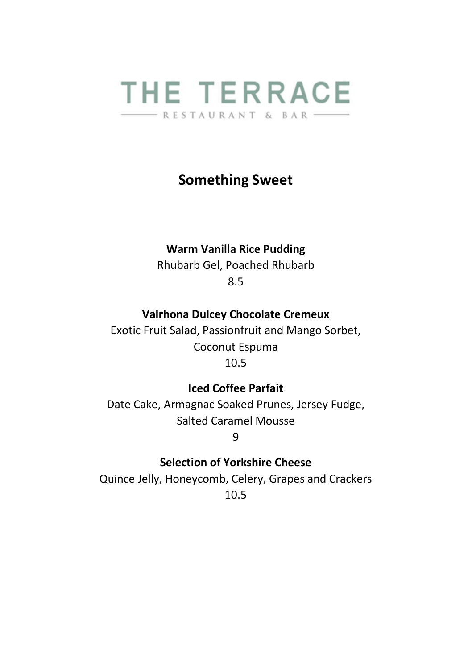

## **Something Sweet**

#### **Warm Vanilla Rice Pudding**

Rhubarb Gel, Poached Rhubarb 8.5

#### **Valrhona Dulcey Chocolate Cremeux**

Exotic Fruit Salad, Passionfruit and Mango Sorbet, Coconut Espuma 10.5

#### **Iced Coffee Parfait**

Date Cake, Armagnac Soaked Prunes, Jersey Fudge, Salted Caramel Mousse

9

#### **Selection of Yorkshire Cheese**

Quince Jelly, Honeycomb, Celery, Grapes and Crackers 10.5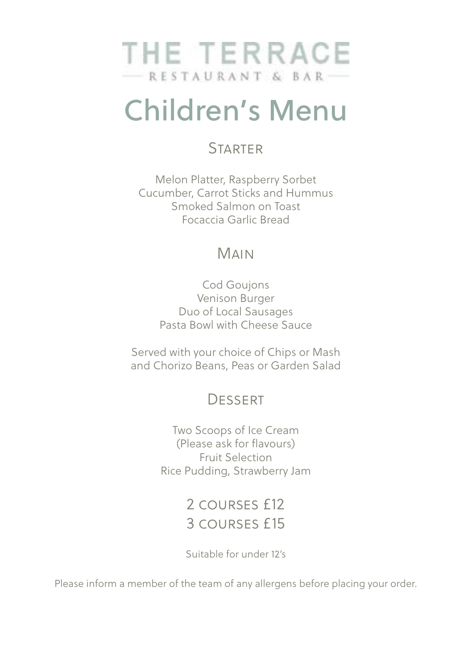

# Children's Menu

## **STARTER**

Melon Platter, Raspberry Sorbet Cucumber, Carrot Sticks and Hummus Smoked Salmon on Toast Focaccia Garlic Bread

# Main

Cod Goujons Venison Burger Duo of Local Sausages Pasta Bowl with Cheese Sauce

Served with your choice of Chips or Mash and Chorizo Beans, Peas or Garden Salad

# **DESSERT**

Two Scoops of Ice Cream (Please ask for flavours) Fruit Selection Rice Pudding, Strawberry Jam

> 2 courses £12 3 courses £15

> Suitable for under 12's

Please inform a member of the team of any allergens before placing your order.